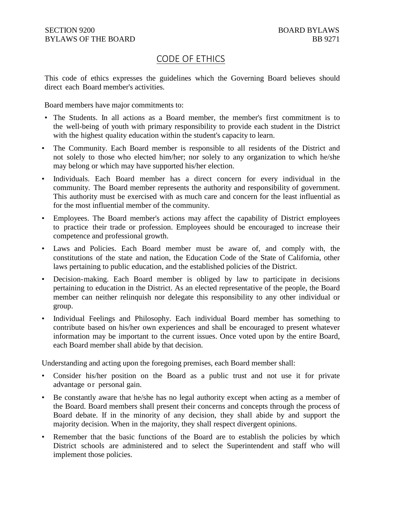## CODE OF ETHICS

This code of ethics expresses the guidelines which the Governing Board believes should direct each Board member's activities.

Board members have major commitments to:

- The Students. In all actions as a Board member, the member's first commitment is to the well-being of youth with primary responsibility to provide each student in the District with the highest quality education within the student's capacity to learn.
- The Community. Each Board member is responsible to all residents of the District and not solely to those who elected him/her; nor solely to any organization to which he/she may belong or which may have supported his/her election.
- Individuals. Each Board member has a direct concern for every individual in the community. The Board member represents the authority and responsibility of government. This authority must be exercised with as much care and concern for the least influential as for the most influential member of the community.
- Employees. The Board member's actions may affect the capability of District employees to practice their trade or profession. Employees should be encouraged to increase their competence and professional growth.
- Laws and Policies. Each Board member must be aware of, and comply with, the constitutions of the state and nation, the Education Code of the State of California, other laws pertaining to public education, and the established policies of the District.
- Decision-making. Each Board member is obliged by law to participate in decisions pertaining to education in the District. As an elected representative of the people, the Board member can neither relinquish nor delegate this responsibility to any other individual or group.
- Individual Feelings and Philosophy. Each individual Board member has something to contribute based on his/her own experiences and shall be encouraged to present whatever information may be important to the current issues. Once voted upon by the entire Board, each Board member shall abide by that decision.

Understanding and acting upon the foregoing premises, each Board member shall:

- Consider his/her position on the Board as a public trust and not use it for private advantage or personal gain.
- Be constantly aware that he/she has no legal authority except when acting as a member of the Board. Board members shall present their concerns and concepts through the process of Board debate. If in the minority of any decision, they shall abide by and support the majority decision. When in the majority, they shall respect divergent opinions.
- Remember that the basic functions of the Board are to establish the policies by which District schools are administered and to select the Superintendent and staff who will implement those policies.